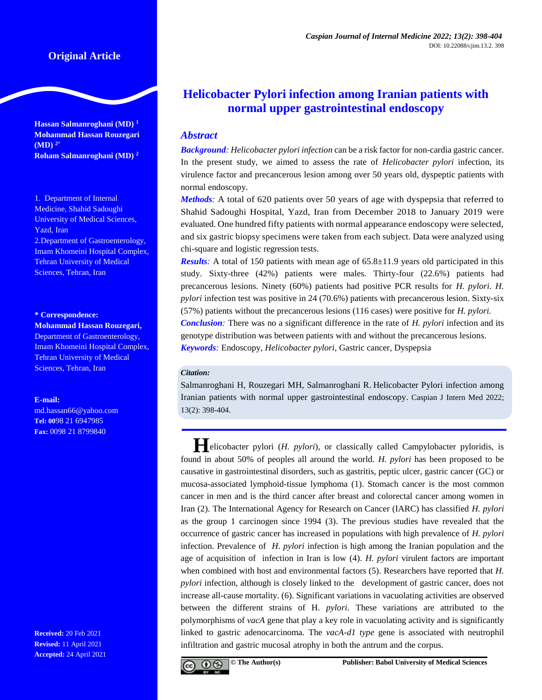## **Original Article**

**Hassan Salmanroghani (MD) <sup>1</sup> Mohammad Hassan Rouzegari (MD) 2\* Roham Salmanroghani (MD) <sup>2</sup>**

1. Department of Internal Medicine, Shahid Sadoughi University of Medical Sciences, Yazd, Iran 2.Department of Gastroenterology, Imam Khomeini Hospital Complex, Tehran University of Medical Sciences, Tehran, Iran

#### **\* Correspondence:**

**Mohammad Hassan Rouzegari,**  Department of Gastroenterology, Imam Khomeini Hospital Complex, Tehran University of Medical Sciences, Tehran, Iran

#### **E-mail:**

md.hassan66@yahoo.com **Tel: 00**98 21 6947985 **Fax:** 0098 21 8799840

**Received:** 20 Feb 2021 **Revised:** 11 April 2021 **Accepted:** 24 April 2021

# **Helicobacter Pylori infection among Iranian patients with normal upper gastrointestinal endoscopy**

## *Abstract*

*Background: Helicobacter pylori infection* can be a risk factor for non-cardia gastric cancer. In the present study, we aimed to assess the rate of *Helicobacter pylori* infection, its virulence factor and precancerous lesion among over 50 years old, dyspeptic patients with normal endoscopy.

*Methods:* A total of 620 patients over 50 years of age with dyspepsia that referred to Shahid Sadoughi Hospital, Yazd, Iran from December 2018 to January 2019 were evaluated. One hundred fifty patients with normal appearance endoscopy were selected, and six gastric biopsy specimens were taken from each subject. Data were analyzed using chi-square and logistic regression tests.

*Results*: A total of 150 patients with mean age of 65.8±11.9 years old participated in this study. Sixty-three (42%) patients were males. Thirty-four (22.6%) patients had precancerous lesions. Ninety (60%) patients had positive PCR results for *H. pylori*. *H. pylori* infection test was positive in 24 (70.6%) patients with precancerous lesion. Sixty-six (57%) patients without the precancerous lesions (116 cases) were positive for *H. pylori. Conclusion:* There was no a significant difference in the rate of *H. pylori* infection and its genotype distribution was between patients with and without the precancerous lesions. *Keywords:* Endoscopy, *Helicobacter pylori*, Gastric cancer, Dyspepsia

#### *Citation:*

Salmanroghani H, Rouzegari MH, Salmanroghani R. Helicobacter Pylori infection among Iranian patients with normal upper gastrointestinal endoscopy. Caspian J Intern Med 2022; 13(2): 398-404.

**H**elicobacter pylori (*H. pylori*), or classically called Campylobacter pyloridis, is found in about 50% of peoples all around the world. *H. pylori* has been proposed to be causative in gastrointestinal disorders, such as gastritis, peptic ulcer, gastric cancer (GC) or mucosa-associated lymphoid-tissue lymphoma [\(1\)](#page-5-0). Stomach cancer is the most common cancer in men and is the third cancer after breast and colorectal cancer among women in Iran [\(2\)](#page-5-1). The International Agency for Research on Cancer (IARC) has classified *H. pylori* as the group 1 carcinogen since 1994 [\(3\)](#page-5-2). The previous studies have revealed that the occurrence of gastric cancer has increased in populations with high prevalence of *H. pylori* infection. Prevalence of *H. pylori* infection is high among the Iranian population and the age of acquisition of infection in Iran is low [\(4\)](#page-5-3). *H. pylori* virulent factors are important when combined with host and environmental factors [\(5\).](#page-5-4) Researchers have reported that *H*. *pylori* infection, although is closely linked to the development of gastric cancer, does not increase all-cause mortality. [\(6\)](#page-5-5). Significant variations in vacuolating activities are observed between the different strains of H. *pylori*. These variations are attributed to the polymorphisms of *vacA* gene that play a key role in vacuolating activity and is significantly linked to gastric adenocarcinoma. The *vacA-d1 type* gene is associated with neutrophil infiltration and gastric mucosal atrophy in both the antrum and the corpus.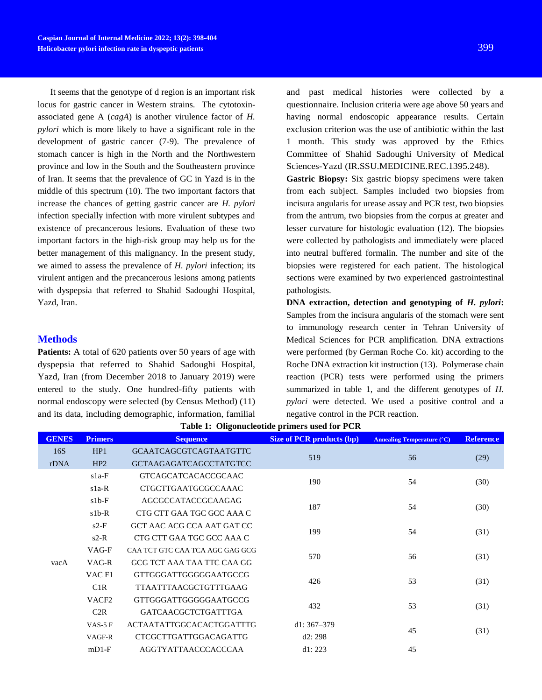It seems that the genotype of d region is an important risk locus for gastric cancer in Western strains. The cytotoxinassociated gene A (*cagA*) is another virulence factor of *H. pylori* which is more likely to have a significant role in the development of gastric cancer [\(7-9\)](#page-5-6). The prevalence of stomach cancer is high in the North and the Northwestern province and low in the South and the Southeastern province of Iran. It seems that the prevalence of GC in Yazd is in the middle of this spectrum [\(10\)](#page-5-7). The two important factors that increase the chances of getting gastric cancer are *H. pylori* infection specially infection with more virulent subtypes and existence of precancerous lesions. Evaluation of these two important factors in the high-risk group may help us for the better management of this malignancy. In the present study, we aimed to assess the prevalence of *H. pylori* infection; its virulent antigen and the precancerous lesions among patients with dyspepsia that referred to Shahid Sadoughi Hospital, Yazd, Iran.

### **Methods**

Patients: A total of 620 patients over 50 years of age with dyspepsia that referred to Shahid Sadoughi Hospital, Yazd, Iran (from December 2018 to January 2019) were entered to the study. One hundred-fifty patients with normal endoscopy were selected (by Census Method) (11) and its data, including demographic, information, familial

and past medical histories were collected by a questionnaire. Inclusion criteria were age above 50 years and having normal endoscopic appearance results. Certain exclusion criterion was the use of antibiotic within the last 1 month. This study was approved by the Ethics Committee of Shahid Sadoughi University of Medical Sciences-Yazd (IR.SSU.MEDICINE.REC.1395.248).

**Gastric Biopsy:** Six gastric biopsy specimens were taken from each subject. Samples included two biopsies from incisura angularis for urease assay and PCR test, two biopsies from the antrum, two biopsies from the corpus at greater and lesser curvature for histologic evaluation [\(12\)](#page-5-8). The biopsies were collected by pathologists and immediately were placed into neutral buffered formalin. The number and site of the biopsies were registered for each patient. The histological sections were examined by two experienced gastrointestinal pathologists.

**DNA extraction, detection and genotyping of** *H. pylori***:**  Samples from the incisura angularis of the stomach were sent to immunology research center in Tehran University of Medical Sciences for PCR amplification. DNA extractions were performed (by German Roche Co. kit) according to the Roche DNA extraction kit instruction [\(13\)](#page-5-9). Polymerase chain reaction (PCR) tests were performed using the primers summarized in table 1, and the different genotypes of *H. pylori* were detected. We used a positive control and a negative control in the PCR reaction.

| <b>GENES</b> | <b>Primers</b>    | <b>Sequence</b>                 | <b>Size of PCR products (bp)</b> | <b>Annealing Temperature (°C)</b> | <b>Reference</b> |
|--------------|-------------------|---------------------------------|----------------------------------|-----------------------------------|------------------|
| 16S          | HP1               | <b>GCAATCAGCGTCAGTAATGTTC</b>   | 519                              | 56                                |                  |
| rDNA         | HP2               | <b>GCTAAGAGATCAGCCTATGTCC</b>   |                                  |                                   | (29)             |
|              | $s1a-F$           | <b>GTCAGCATCACACCGCAAC</b>      | 190                              | 54                                | (30)             |
|              | $s1a-R$           | CTGCTTGAATGCGCCAAAC             |                                  |                                   |                  |
|              | $s1b-F$           | AGCGCCATACCGCAAGAG              | 187                              | 54                                | (30)             |
|              | $s1b-R$           | CTG CTT GAA TGC GCC AAA C       |                                  |                                   |                  |
| vacA         | $s2-F$            | GCT AAC ACG CCA AAT GAT CC      | 199                              | 54                                | (31)             |
|              | $s2-R$            | CTG CTT GAA TGC GCC AAA C       |                                  |                                   |                  |
|              | VAG-F             | CAA TCT GTC CAA TCA AGC GAG GCG | 570                              | 56                                | (31)             |
|              | VAG-R             | GCG TCT AAA TAA TTC CAA GG      |                                  |                                   |                  |
|              | VAC <sub>F1</sub> | GTTGGGATTGGGGGAATGCCG           | 426                              | 53                                | (31)             |
|              | C1R               | <b>TTAATTTAACGCTGTTTGAAG</b>    |                                  |                                   |                  |
|              | VACF <sub>2</sub> | GTTGGGATTGGGGGAATGCCG           | 432                              | 53                                | (31)<br>(31)     |
|              | C2R               | <b>GATCAACGCTCTGATTTGA</b>      |                                  |                                   |                  |
|              | VAS- $5$ F        | ACTAATATTGGCACACTGGATTTG        | $d1:367-379$                     | 45                                |                  |
|              | VAGF-R            | <b>CTCGCTTGATTGGACAGATTG</b>    | d2:298                           |                                   |                  |
|              | $mDI-F$           | <b>AGGTYATTAACCCACCCAA</b>      | d1: 223                          | 45                                |                  |

**Table 1: Oligonucleotide primers used for PCR**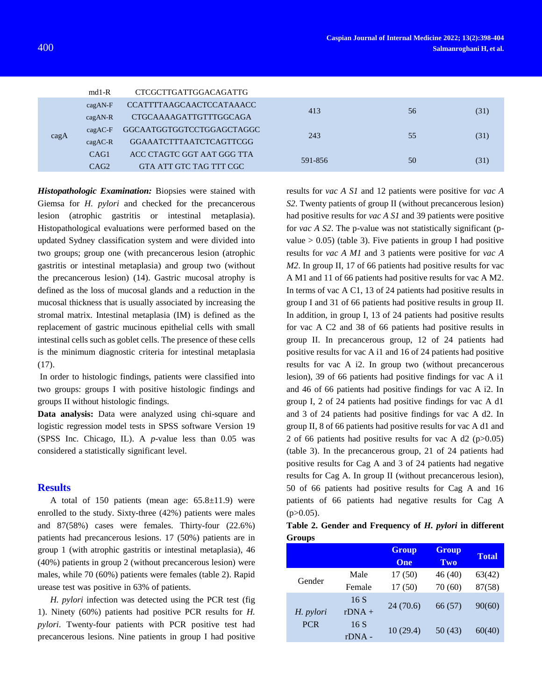|               | $md1-R$          | CTCGCTTGATTGGACAGATTG           |         |    |      |
|---------------|------------------|---------------------------------|---------|----|------|
| $\text{cagA}$ | $cagAN-F$        | <b>CCATTTTAAGCAACTCCATAAACC</b> | 413     | 56 | (31) |
|               | $cagAN-R$        | <b>CTGCAAAAGATTGTTTGGCAGA</b>   |         |    |      |
|               | $cagAC-F$        | GGCAATGGTGGTCCTGGAGCTAGGC       | 243     | 55 | (31) |
|               | $cagAC-R$        | <b>GGAAATCTTTAATCTCAGTTCGG</b>  |         |    |      |
|               | CAG1             | ACC CTAGTC GGT AAT GGG TTA      | 591-856 | 50 | (31) |
|               | CAG <sub>2</sub> | GTA ATT GTC TAG TTT CGC         |         |    |      |
|               |                  |                                 |         |    |      |

*Histopathologic Examination:* Biopsies were stained with Giemsa for *H. pylori* and checked for the precancerous lesion (atrophic gastritis or intestinal metaplasia). Histopathological evaluations were performed based on the updated Sydney classification system and were divided into two groups; group one (with precancerous lesion (atrophic gastritis or intestinal metaplasia) and group two (without the precancerous lesion) [\(14\).](#page-5-10) Gastric mucosal atrophy is defined as the loss of mucosal glands and a reduction in the mucosal thickness that is usually associated by increasing the stromal matrix. Intestinal metaplasia (IM) is defined as the replacement of gastric mucinous epithelial cells with small intestinal cells such as goblet cells. The presence of these cells is the minimum diagnostic criteria for intestinal metaplasia (17).

In order to histologic findings, patients were classified into two groups: groups I with positive histologic findings and groups II without histologic findings.

**Data analysis:** Data were analyzed using chi-square and logistic regression model tests in SPSS software Version 19 (SPSS Inc. Chicago, IL). A *p-*value less than 0.05 was considered a statistically significant level.

#### **Results**

A total of 150 patients (mean age:  $65.8 \pm 11.9$ ) were enrolled to the study. Sixty-three (42%) patients were males and 87(58%) cases were females. Thirty-four (22.6%) patients had precancerous lesions. 17 (50%) patients are in group 1 (with atrophic gastritis or intestinal metaplasia), 46 (40%) patients in group 2 (without precancerous lesion) were males, while 70 (60%) patients were females (table 2). Rapid urease test was positive in 63% of patients.

*H. pylori* infection was detected using the PCR test (fig 1). Ninety (60%) patients had positive PCR results for *H. pylori*. Twenty-four patients with PCR positive test had precancerous lesions. Nine patients in group I had positive results for *vac A S1* and 12 patients were positive for *vac A S2*. Twenty patients of group II (without precancerous lesion) had positive results for *vac A S1* and 39 patients were positive for *vac A S2*. The p-value was not statistically significant (pvalue  $> 0.05$ ) (table 3). Five patients in group I had positive results for *vac A M1* and 3 patients were positive for *vac A M2*. In group II, 17 of 66 patients had positive results for vac A M1 and 11 of 66 patients had positive results for vac A M2. In terms of vac A C1, 13 of 24 patients had positive results in group I and 31 of 66 patients had positive results in group II. In addition, in group I, 13 of 24 patients had positive results for vac A C2 and 38 of 66 patients had positive results in group II. In precancerous group, 12 of 24 patients had positive results for vac A i1 and 16 of 24 patients had positive results for vac A i2. In group two (without precancerous lesion), 39 of 66 patients had positive findings for vac A i1 and 46 of 66 patients had positive findings for vac A i2. In group I, 2 of 24 patients had positive findings for vac A d1 and 3 of 24 patients had positive findings for vac A d2. In group II, 8 of 66 patients had positive results for vac A d1 and 2 of 66 patients had positive results for vac A d2 (p>0.05) (table 3). In the precancerous group, 21 of 24 patients had positive results for Cag A and 3 of 24 patients had negative results for Cag A. In group II (without precancerous lesion), 50 of 66 patients had positive results for Cag A and 16 patients of 66 patients had negative results for Cag A  $(p>0.05)$ .

|               |  | Table 2. Gender and Frequency of H. pylori in different |  |  |
|---------------|--|---------------------------------------------------------|--|--|
| <b>Groups</b> |  |                                                         |  |  |

|            |          | <b>Group</b><br>One | <b>Group</b><br>Two | <b>Total</b> |
|------------|----------|---------------------|---------------------|--------------|
|            | Male     | 17(50)              | 46(40)              | 63(42)       |
| Gender     | Female   | 17(50)              | 70(60)              | 87(58)       |
|            | 16S      |                     |                     |              |
| H. pylori  | $rDNA +$ | 24(70.6)            | 66 (57)             | 90(60)       |
| <b>PCR</b> | 16S      |                     | 50 (43)             |              |
|            | $rDNA -$ | 10(29.4)            |                     | 60(40)       |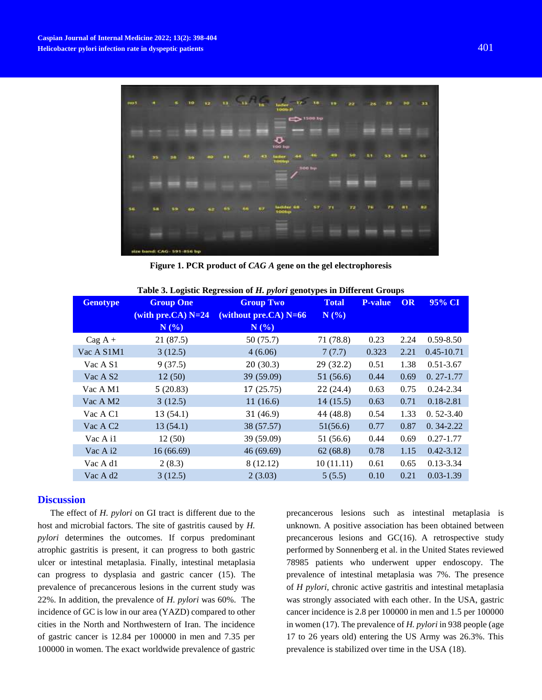

**Figure 1. PCR product of** *CAG A* **gene on the gel electrophoresis**

| Table 5. Logistic Regression of H. <i>pytort</i> genotypes in Different Groups |                      |                         |              |                |      |                |  |  |
|--------------------------------------------------------------------------------|----------------------|-------------------------|--------------|----------------|------|----------------|--|--|
| <b>Genotype</b>                                                                | <b>Group One</b>     | <b>Group Two</b>        | <b>Total</b> | <b>P-value</b> | OR   | 95% CI         |  |  |
|                                                                                | (with pre.CA) $N=24$ | (without pre.CA) $N=66$ | N(%)         |                |      |                |  |  |
|                                                                                | N(%)                 | N(%                     |              |                |      |                |  |  |
| $Cag A +$                                                                      | 21(87.5)             | 50 (75.7)               | 71 (78.8)    | 0.23           | 2.24 | $0.59 - 8.50$  |  |  |
| Vac A S1M1                                                                     | 3(12.5)              | 4(6.06)                 | 7(7.7)       | 0.323          | 2.21 | $0.45 - 10.71$ |  |  |
| Vac A S1                                                                       | 9(37.5)              | 20(30.3)                | 29 (32.2)    | 0.51           | 1.38 | $0.51 - 3.67$  |  |  |
| Vac A S <sub>2</sub>                                                           | 12(50)               | 39 (59.09)              | 51(56.6)     | 0.44           | 0.69 | $0.27 - 1.77$  |  |  |
| Vac A M1                                                                       | 5(20.83)             | 17(25.75)               | 22(24.4)     | 0.63           | 0.75 | $0.24 - 2.34$  |  |  |
| Vac A M2                                                                       | 3(12.5)              | 11(16.6)                | 14(15.5)     | 0.63           | 0.71 | $0.18 - 2.81$  |  |  |
| Vac A C1                                                                       | 13(54.1)             | 31(46.9)                | 44 (48.8)    | 0.54           | 1.33 | $0.52 - 3.40$  |  |  |
| Vac A C <sub>2</sub>                                                           | 13(54.1)             | 38 (57.57)              | 51(56.6)     | 0.77           | 0.87 | $0.34 - 2.22$  |  |  |
| Vac A i1                                                                       | 12(50)               | 39 (59.09)              | 51 (56.6)    | 0.44           | 0.69 | $0.27 - 1.77$  |  |  |
| Vac A i2                                                                       | 16(66.69)            | 46(69.69)               | 62(68.8)     | 0.78           | 1.15 | $0.42 - 3.12$  |  |  |
| Vac A d1                                                                       | 2(8.3)               | 8 (12.12)               | 10(11.11)    | 0.61           | 0.65 | $0.13 - 3.34$  |  |  |
| Vac A d2                                                                       | 3(12.5)              | 2(3.03)                 | 5(5.5)       | 0.10           | 0.21 | $0.03 - 1.39$  |  |  |

**Table 3. Logistic Regression of** *H. pylori* **genotypes in Different Groups**

#### **Discussion**

The effect of *H. pylori* on GI tract is different due to the host and microbial factors. The site of gastritis caused by *H. pylori* determines the outcomes. If corpus predominant atrophic gastritis is present, it can progress to both gastric ulcer or intestinal metaplasia. Finally, intestinal metaplasia can progress to dysplasia and gastric cancer [\(15\)](#page-5-11). The prevalence of precancerous lesions in the current study was 22%. In addition, the prevalence of *H. pylori* was 60%. The incidence of GC is low in our area (YAZD) compared to other cities in the North and Northwestern of Iran. The incidence of gastric cancer is 12.84 per 100000 in men and 7.35 per 100000 in women. The exact worldwide prevalence of gastric precancerous lesions such as intestinal metaplasia is unknown. A positive association has been obtained between precancerous lesions and GC[\(16\)](#page-5-12). A retrospective study performed by Sonnenberg et al. in the United States reviewed 78985 patients who underwent upper endoscopy. The prevalence of intestinal metaplasia was 7%. The presence of *H pylori*, chronic active gastritis and intestinal metaplasia was strongly associated with each other. In the USA, gastric cancer incidence is 2.8 per 100000 in men and 1.5 per 100000 in women [\(17\)](#page-5-13). The prevalence of *H. pylori* in 938 people (age 17 to 26 years old) entering the US Army was 26.3%. This prevalence is stabilized over time in the USA [\(18\)](#page-5-14).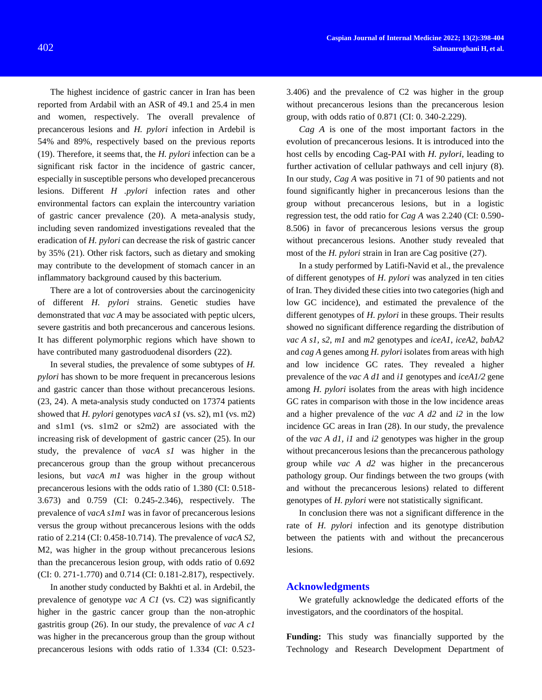The highest incidence of gastric cancer in Iran has been reported from Ardabil with an ASR of 49.1 and 25.4 in men and women, respectively. The overall prevalence of precancerous lesions and *H. pylori* infection in Ardebil is 54% and 89%, respectively based on the previous reports [\(19\)](#page-5-15). Therefore, it seems that, the *H. pylori* infection can be a significant risk factor in the incidence of gastric cancer, especially in susceptible persons who developed precancerous lesions. Different *H .pylori* infection rates and other environmental factors can explain the intercountry variation of gastric cancer prevalence [\(20\)](#page-5-16). A meta-analysis study, including seven randomized investigations revealed that the eradication of *H. pylori* can decrease the risk of gastric cancer by 35% [\(21\)](#page-5-17). Other risk factors, such as dietary and smoking may contribute to the development of stomach cancer in an inflammatory background caused by this bacterium.

There are a lot of controversies about the carcinogenicity of different *H. pylori* strains. Genetic studies have demonstrated that *vac A* may be associated with peptic ulcers, severe gastritis and both precancerous and cancerous lesions. It has different polymorphic regions which have shown to have contributed many gastroduodenal disorders [\(22\)](#page-5-18).

In several studies, the prevalence of some subtypes of *H. pylori* has shown to be more frequent in precancerous lesions and gastric cancer than those without precancerous lesions. [\(23,](#page-5-19) [24\)](#page-5-20). A meta-analysis study conducted on 17374 patients showed that *H. pylori* genotypes *vacA s1* (vs. s2), m1 (vs. m2) and s1m1 (vs. s1m2 or s2m2) are associated with the increasing risk of development of gastric cancer [\(25\)](#page-6-3). In our study, the prevalence of *vacA s1* was higher in the precancerous group than the group without precancerous lesions, but *vacA m1* was higher in the group without precancerous lesions with the odds ratio of 1.380 (CI: 0.518- 3.673) and 0.759 (CI: 0.245-2.346), respectively. The prevalence of *vacA s1m1* was in favor of precancerous lesions versus the group without precancerous lesions with the odds ratio of 2.214 (CI: 0.458-10.714). The prevalence of *vacA S2*, M2, was higher in the group without precancerous lesions than the precancerous lesion group, with odds ratio of 0.692 (CI: 0. 271-1.770) and 0.714 (CI: 0.181-2.817), respectively.

In another study conducted by Bakhti et al. in Ardebil, the prevalence of genotype *vac A C1* (vs. C2) was significantly higher in the gastric cancer group than the non-atrophic gastritis group [\(26\)](#page-6-4). In our study, the prevalence of *vac A c1* was higher in the precancerous group than the group without precancerous lesions with odds ratio of 1.334 (CI: 0.5233.406) and the prevalence of C2 was higher in the group without precancerous lesions than the precancerous lesion group, with odds ratio of 0.871 (CI: 0. 340-2.229).

*Cag A* is one of the most important factors in the evolution of precancerous lesions. It is introduced into the host cells by encoding Cag-PAI with *H. pylori*, leading to further activation of cellular pathways and cell injury [\(8\)](#page-5-21). In our study, *Cag A* was positive in 71 of 90 patients and not found significantly higher in precancerous lesions than the group without precancerous lesions, but in a logistic regression test, the odd ratio for *Cag A* was 2.240 (CI: 0.590- 8.506) in favor of precancerous lesions versus the group without precancerous lesions. Another study revealed that most of the *H. pylori* strain in Iran are Cag positive [\(27\)](#page-6-5).

In a study performed by Latifi-Navid et al., the prevalence of different genotypes of *H. pylori* was analyzed in ten cities of Iran. They divided these cities into two categories (high and low GC incidence), and estimated the prevalence of the different genotypes of *H. pylori* in these groups. Their results showed no significant difference regarding the distribution of *vac A s1, s2, m1* and *m2* genotypes and *iceA1, iceA2, babA2* and *cag A* genes among *H. pylori* isolates from areas with high and low incidence GC rates. They revealed a higher prevalence of the *vac A d1* and *i1* genotypes and *iceA1/2* gene among *H. pylori* isolates from the areas with high incidence GC rates in comparison with those in the low incidence areas and a higher prevalence of the *vac A d2* and *i2* in the low incidence GC areas in Iran [\(28\)](#page-6-6). In our study, the prevalence of the *vac A d1, i1* and *i2* genotypes was higher in the group without precancerous lesions than the precancerous pathology group while *vac A d2* was higher in the precancerous pathology group. Our findings between the two groups (with and without the precancerous lesions) related to different genotypes of *H. pylori* were not statistically significant.

In conclusion there was not a significant difference in the rate of *H. pylori* infection and its genotype distribution between the patients with and without the precancerous lesions.

#### **Acknowledgments**

We gratefully acknowledge the dedicated efforts of the investigators, and the coordinators of the hospital.

**Funding:** This study was financially supported by the Technology and Research Development Department of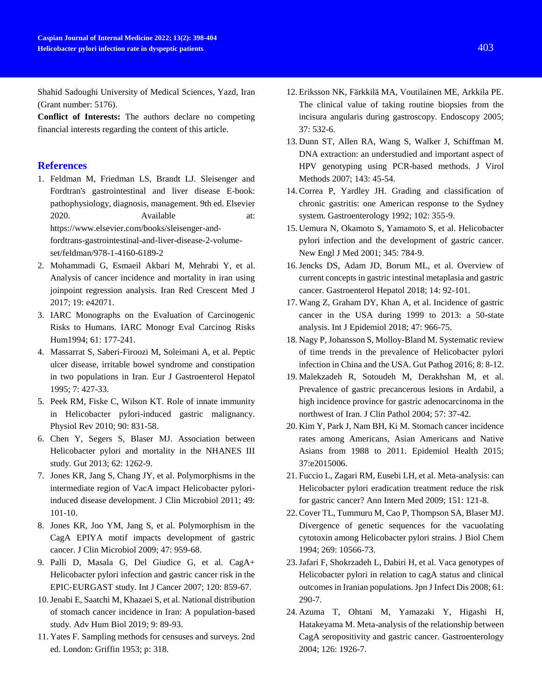Shahid Sadoughi University of Medical Sciences, Yazd, Iran (Grant number: 5176).

**Conflict of Interests:** The authors declare no competing financial interests regarding the content of this article.

## **References**

- <span id="page-5-0"></span>1. Feldman M, Friedman LS, Brandt LJ. Sleisenger and Fordtran's gastrointestinal and liver disease E-book: pathophysiology, diagnosis, management. 9th ed. Elsevier 2020. Available at: https://www.elsevier.com/books/sleisenger-andfordtrans-gastrointestinal-and-liver-disease-2-volumeset/feldman/978-1-4160-6189-2
- <span id="page-5-1"></span>2. Mohammadi G, Esmaeil Akbari M, Mehrabi Y, et al. Analysis of cancer incidence and mortality in iran using joinpoint regression analysis. Iran Red Crescent Med J 2017; 19: e42071.
- <span id="page-5-2"></span>3. IARC Monographs on the Evaluation of Carcinogenic Risks to Humans. IARC Monogr Eval Carcinog Risks Hum1994; 61: 177-241.
- <span id="page-5-3"></span>4. Massarrat S, Saberi-Firoozi M, Soleimani A, et al. Peptic ulcer disease, irritable bowel syndrome and constipation in two populations in Iran. Eur J Gastroenterol Hepatol 1995; 7: 427-33.
- <span id="page-5-4"></span>5. Peek RM, Fiske C, Wilson KT. Role of innate immunity in Helicobacter pylori-induced gastric malignancy. Physiol Rev 2010; 90: 831-58.
- <span id="page-5-5"></span>6. Chen Y, Segers S, Blaser MJ. Association between Helicobacter pylori and mortality in the NHANES III study. Gut 2013; 62: 1262-9.
- <span id="page-5-6"></span>7. Jones KR, Jang S, Chang JY, et al. Polymorphisms in the intermediate region of VacA impact Helicobacter pyloriinduced disease development. J Clin Microbiol 2011; 49: 101-10.
- <span id="page-5-21"></span>8. Jones KR, Joo YM, Jang S, et al. Polymorphism in the CagA EPIYA motif impacts development of gastric cancer. J Clin Microbiol 2009; 47: 959-68.
- 9. Palli D, Masala G, Del Giudice G, et al. CagA+ Helicobacter pylori infection and gastric cancer risk in the EPIC‐EURGAST study. Int J Cancer 2007; 120: 859-67.
- <span id="page-5-7"></span>10.Jenabi E, Saatchi M, Khazaei S, et al. National distribution of stomach cancer incidence in Iran: A population-based study. Adv Hum Biol 2019; 9: 89-93.
- 11. Yates F. Sampling methods for censuses and surveys. 2nd ed. London: Griffin 1953; p: 318.
- <span id="page-5-8"></span>12. Eriksson NK, Färkkilä MA, Voutilainen ME, Arkkila PE. The clinical value of taking routine biopsies from the incisura angularis during gastroscopy. Endoscopy 2005; 37: 532-6.
- <span id="page-5-9"></span>13. Dunn ST, Allen RA, Wang S, Walker J, Schiffman M. DNA extraction: an understudied and important aspect of HPV genotyping using PCR-based methods. J Virol Methods 2007; 143: 45-54.
- <span id="page-5-10"></span>14. Correa P, Yardley JH. Grading and classification of chronic gastritis: one American response to the Sydney system. Gastroenterology 1992; 102: 355-9.
- <span id="page-5-11"></span>15. Uemura N, Okamoto S, Yamamoto S, et al. Helicobacter pylori infection and the development of gastric cancer. New Engl J Med 2001; 345: 784-9.
- <span id="page-5-12"></span>16.Jencks DS, Adam JD, Borum ML, et al. Overview of current concepts in gastric intestinal metaplasia and gastric cancer. Gastroenterol Hepatol 2018; 14: 92-101.
- <span id="page-5-13"></span>17. Wang Z, Graham DY, Khan A, et al. Incidence of gastric cancer in the USA during 1999 to 2013: a 50-state analysis. Int J Epidemiol 2018; 47: 966-75.
- <span id="page-5-14"></span>18. Nagy P, Johansson S, Molloy-Bland M. Systematic review of time trends in the prevalence of Helicobacter pylori infection in China and the USA. Gut Pathog 2016; 8: 8-12.
- <span id="page-5-15"></span>19. Malekzadeh R, Sotoudeh M, Derakhshan M, et al. Prevalence of gastric precancerous lesions in Ardabil, a high incidence province for gastric adenocarcinoma in the northwest of Iran. J Clin Pathol 2004; 57: 37-42.
- <span id="page-5-16"></span>20. Kim Y, Park J, Nam BH, Ki M. Stomach cancer incidence rates among Americans, Asian Americans and Native Asians from 1988 to 2011. Epidemiol Health 2015; 37:e2015006.
- <span id="page-5-17"></span>21. Fuccio L, Zagari RM, Eusebi LH, et al. Meta-analysis: can Helicobacter pylori eradication treatment reduce the risk for gastric cancer? Ann Intern Med 2009; 151: 121-8.
- <span id="page-5-18"></span>22. Cover TL, Tummuru M, Cao P, Thompson SA, Blaser MJ. Divergence of genetic sequences for the vacuolating cytotoxin among Helicobacter pylori strains. J Biol Chem 1994; 269: 10566-73.
- <span id="page-5-19"></span>23.Jafari F, Shokrzadeh L, Dabiri H, et al. Vaca genotypes of Helicobacter pylori in relation to cagA status and clinical outcomes in Iranian populations. Jpn J Infect Dis 2008; 61: 290-7.
- <span id="page-5-20"></span>24. Azuma T, Ohtani M, Yamazaki Y, Higashi H, Hatakeyama M. Meta-analysis of the relationship between CagA seropositivity and gastric cancer. Gastroenterology 2004; 126: 1926-7.